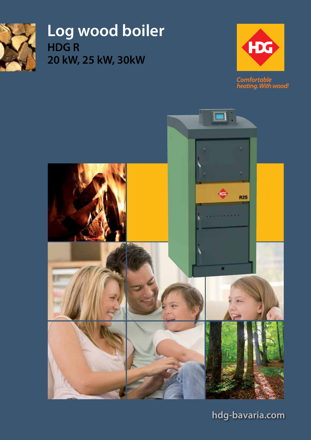

**Log wood boiler HDG R 20 kW, 25 kW, 30kW**



Comfortable<br>heating. With wood!



**hdg-bavaria.com**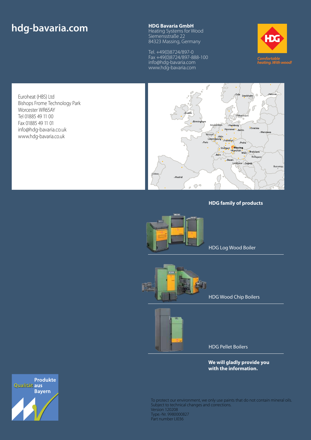# **hdg-bavaria.com HDG Bavaria GmbH**<br>Heating Systems for W

Heating Systems for Wood Siemensstraße 22 84323 Massing, Germany

Tel. +49(0)8724/897-0 Fax +49(0)8724/897-888-100 info@hdg-bavaria.com www.hdg-bavaria.com







#### **HDG family of products**



HDG Log Wood Boiler



HDG Wood Chip Boilers



HDG Pellet Boilers

**We will gladly provide you with the information.**

**Produkte** Qualität aus **Bayern** 

To protect our environment, we only use paints that do not contain mineral oils. Subject to technical changes and corrections. Version 120208 Type.-Nr. 9980000827 Part number LI036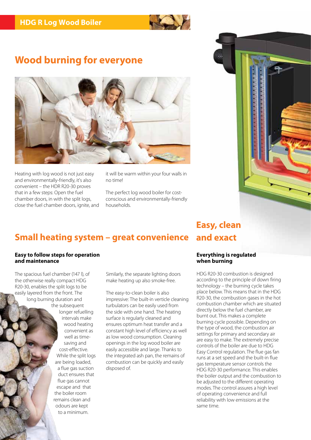

### **Wood burning for everyone**



Heating with log wood is not just easy and environmentally-friendly, it's also convenient – the HDR R20-30 proves that in a few steps: Open the fuel chamber doors, in with the split logs, close the fuel chamber doors, ignite, and it will be warm within your four walls in no time!

The perfect log wood boiler for costconscious and environmentally-friendly households.



## **Small heating system – great convenience and exact**

#### **Easy to follow steps for operation and maintenance**

The spacious fuel chamber (147 l), of the otherwise really compact HDG R20-30, enables the split logs to be easily layered from the front. The long burning duration and the subsequent

longer refuelling intervals make wood heating convenient as well as timesaving and cost-effective. While the split logs are being loaded, a flue gas suction duct ensures that flue gas cannot escape and that the boiler room remains clean and odours are kept to a minimum.

Similarly, the separate lighting doors make heating up also smoke-free.

The easy-to-clean boiler is also impressive: The built-in verticle cleaning turbulators can be easily used from the side with one hand. The heating surface is regularly cleaned and ensures optimum heat transfer and a constant high level of efficiency as well as low wood consumption. Cleaning openings in the log wood boiler are easily accessible and large. Thanks to the integrated ash pan, the remains of combustion can be quickly and easily disposed of.

#### **Everything is regulated when burning**

HDG R20-30 combustion is designed according to the principle of down firing technology – the burning cycle takes place below. This means that in the HDG R20-30, the combustion gases in the hot combustion chamber which are situated directly below the fuel chamber, are burnt out. This makes a complete burning cycle possible. Depending on the type of wood, the combustion air settings for primary and secondary air are easy to make. The extremely precise controls of the boiler are due to HDG Easy Control regulation. The flue gas fan runs at a set speed and the built-in flue gas temperature sensor controls the HDG R20-30 performance. This enables the boiler output and the combustion to be adjusted to the different operating modes. The control assures a high level of operating convenience and full reliability with low emissions at the same time.